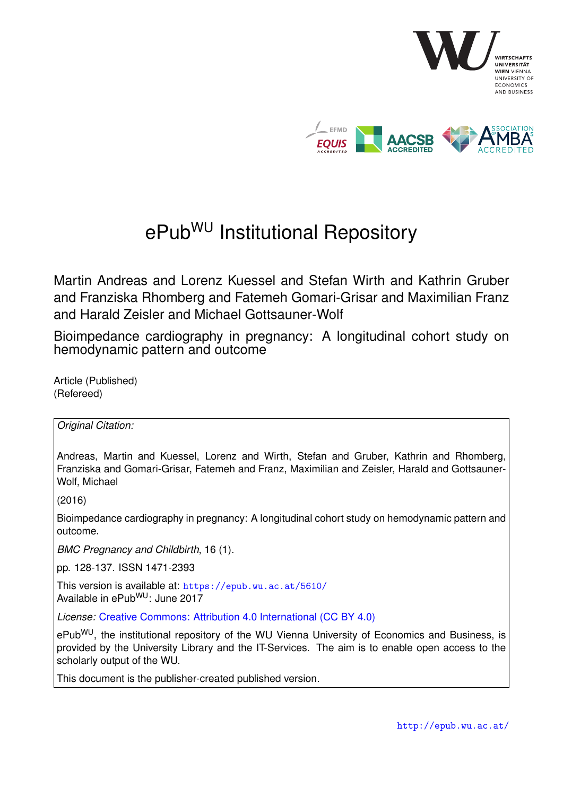

# ePub<sup>WU</sup> Institutional Repository

Martin Andreas and Lorenz Kuessel and Stefan Wirth and Kathrin Gruber and Franziska Rhomberg and Fatemeh Gomari-Grisar and Maximilian Franz and Harald Zeisler and Michael Gottsauner-Wolf

Bioimpedance cardiography in pregnancy: A longitudinal cohort study on hemodynamic pattern and outcome

Article (Published) (Refereed)

*Original Citation:*

Andreas, Martin and Kuessel, Lorenz and Wirth, Stefan and Gruber, Kathrin and Rhomberg, Franziska and Gomari-Grisar, Fatemeh and Franz, Maximilian and Zeisler, Harald and Gottsauner-Wolf, Michael

(2016)

Bioimpedance cardiography in pregnancy: A longitudinal cohort study on hemodynamic pattern and outcome.

*BMC Pregnancy and Childbirth*, 16 (1).

pp. 128-137. ISSN 1471-2393

This version is available at: <https://epub.wu.ac.at/5610/> Available in ePub<sup>WU</sup>: June 2017

*License:* [Creative Commons: Attribution 4.0 International \(CC BY 4.0\)](https://creativecommons.org/licenses/by/4.0/deed.en)

ePub<sup>WU</sup>, the institutional repository of the WU Vienna University of Economics and Business, is provided by the University Library and the IT-Services. The aim is to enable open access to the scholarly output of the WU.

This document is the publisher-created published version.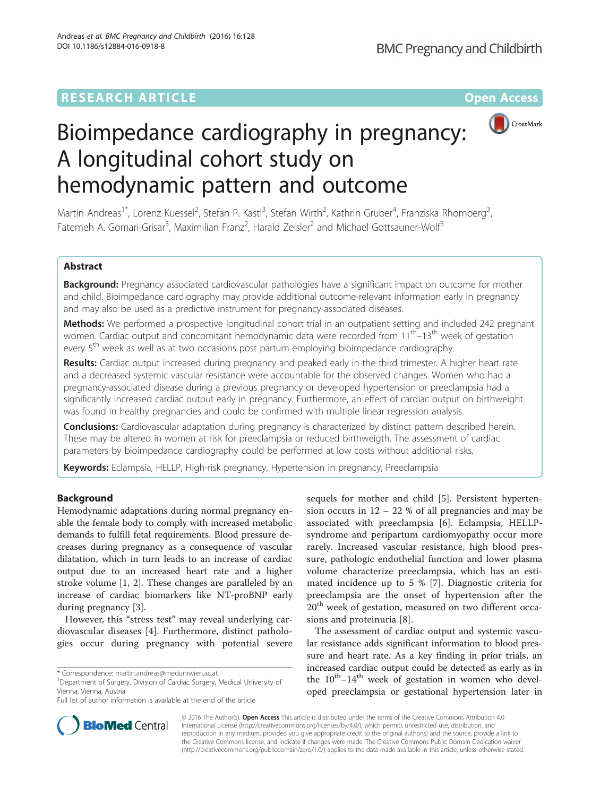# **RESEARCH ARTICLE External Structure Community Community Community Community Community Community Community Community**



# Bioimpedance cardiography in pregnancy: A longitudinal cohort study on hemodynamic pattern and outcome

Martin Andreas<sup>1\*</sup>, Lorenz Kuessel<sup>2</sup>, Stefan P. Kastl<sup>3</sup>, Stefan Wirth<sup>2</sup>, Kathrin Gruber<sup>4</sup>, Franziska Rhomberg<sup>3</sup> , Fatemeh A. Gomari-Grisar<sup>3</sup>, Maximilian Franz<sup>2</sup>, Harald Zeisler<sup>2</sup> and Michael Gottsauner-Wolf<sup>3</sup>

# Abstract

Background: Pregnancy associated cardiovascular pathologies have a significant impact on outcome for mother and child. Bioimpedance cardiography may provide additional outcome-relevant information early in pregnancy and may also be used as a predictive instrument for pregnancy-associated diseases.

Methods: We performed a prospective longitudinal cohort trial in an outpatient setting and included 242 pregnant women. Cardiac output and concomitant hemodynamic data were recorded from 11<sup>th</sup>–13<sup>th</sup> week of gestation every 5<sup>th</sup> week as well as at two occasions post partum employing bioimpedance cardiography.

Results: Cardiac output increased during pregnancy and peaked early in the third trimester. A higher heart rate and a decreased systemic vascular resistance were accountable for the observed changes. Women who had a pregnancy-associated disease during a previous pregnancy or developed hypertension or preeclampsia had a significantly increased cardiac output early in pregnancy. Furthermore, an effect of cardiac output on birthweight was found in healthy pregnancies and could be confirmed with multiple linear regression analysis.

**Conclusions:** Cardiovascular adaptation during pregnancy is characterized by distinct pattern described herein. These may be altered in women at risk for preeclampsia or reduced birthweigth. The assessment of cardiac parameters by bioimpedance cardiography could be performed at low costs without additional risks.

Keywords: Eclampsia, HELLP, High-risk pregnancy, Hypertension in pregnancy, Preeclampsia

# Background

Hemodynamic adaptations during normal pregnancy enable the female body to comply with increased metabolic demands to fulfill fetal requirements. Blood pressure decreases during pregnancy as a consequence of vascular dilatation, which in turn leads to an increase of cardiac output due to an increased heart rate and a higher stroke volume [[1, 2](#page-8-0)]. These changes are paralleled by an increase of cardiac biomarkers like NT-proBNP early during pregnancy [[3\]](#page-8-0).

However, this "stress test" may reveal underlying cardiovascular diseases [[4\]](#page-8-0). Furthermore, distinct pathologies occur during pregnancy with potential severe

<sup>1</sup>Department of Surgery, Division of Cardiac Surgery, Medical University of Vienna, Vienna, Austria

sequels for mother and child [\[5](#page-8-0)]. Persistent hypertension occurs in 12 – 22 % of all pregnancies and may be associated with preeclampsia [\[6](#page-8-0)]. Eclampsia, HELLPsyndrome and peripartum cardiomyopathy occur more rarely. Increased vascular resistance, high blood pressure, pathologic endothelial function and lower plasma volume characterize preeclampsia, which has an estimated incidence up to 5 % [[7\]](#page-8-0). Diagnostic criteria for preeclampsia are the onset of hypertension after the  $20<sup>th</sup>$  week of gestation, measured on two different occasions and proteinuria [[8\]](#page-8-0).

The assessment of cardiac output and systemic vascular resistance adds significant information to blood pressure and heart rate. As a key finding in prior trials, an increased cardiac output could be detected as early as in the  $10^{th}$ – $14^{th}$  week of gestation in women who developed preeclampsia or gestational hypertension later in



© 2016 The Author(s). Open Access This article is distributed under the terms of the Creative Commons Attribution 4.0 International License [\(http://creativecommons.org/licenses/by/4.0/](http://creativecommons.org/licenses/by/4.0/)), which permits unrestricted use, distribution, and reproduction in any medium, provided you give appropriate credit to the original author(s) and the source, provide a link to the Creative Commons license, and indicate if changes were made. The Creative Commons Public Domain Dedication waiver [\(http://creativecommons.org/publicdomain/zero/1.0/](http://creativecommons.org/publicdomain/zero/1.0/)) applies to the data made available in this article, unless otherwise stated.

<sup>\*</sup> Correspondence: [martin.andreas@meduniwien.ac.at](mailto:martin.andreas@meduniwien.ac.at) <sup>1</sup>

Full list of author information is available at the end of the article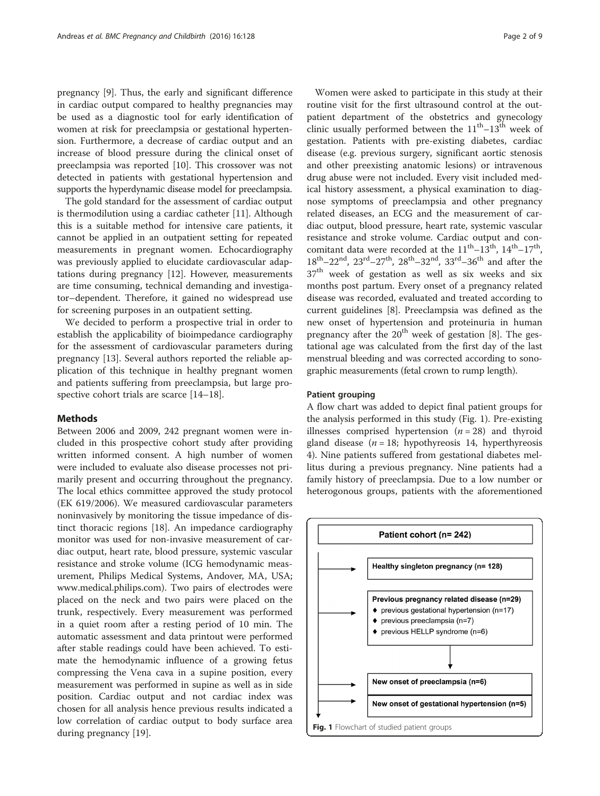pregnancy [[9](#page-8-0)]. Thus, the early and significant difference in cardiac output compared to healthy pregnancies may be used as a diagnostic tool for early identification of women at risk for preeclampsia or gestational hypertension. Furthermore, a decrease of cardiac output and an increase of blood pressure during the clinical onset of preeclampsia was reported [[10](#page-8-0)]. This crossover was not detected in patients with gestational hypertension and supports the hyperdynamic disease model for preeclampsia.

The gold standard for the assessment of cardiac output is thermodilution using a cardiac catheter [[11\]](#page-8-0). Although this is a suitable method for intensive care patients, it cannot be applied in an outpatient setting for repeated measurements in pregnant women. Echocardiography was previously applied to elucidate cardiovascular adaptations during pregnancy [\[12](#page-8-0)]. However, measurements are time consuming, technical demanding and investigator–dependent. Therefore, it gained no widespread use for screening purposes in an outpatient setting.

We decided to perform a prospective trial in order to establish the applicability of bioimpedance cardiography for the assessment of cardiovascular parameters during pregnancy [\[13](#page-8-0)]. Several authors reported the reliable application of this technique in healthy pregnant women and patients suffering from preeclampsia, but large pro-spective cohort trials are scarce [[14](#page-8-0)–[18](#page-9-0)].

# Methods

Between 2006 and 2009, 242 pregnant women were included in this prospective cohort study after providing written informed consent. A high number of women were included to evaluate also disease processes not primarily present and occurring throughout the pregnancy. The local ethics committee approved the study protocol (EK 619/2006). We measured cardiovascular parameters noninvasively by monitoring the tissue impedance of distinct thoracic regions [\[18](#page-9-0)]. An impedance cardiography monitor was used for non-invasive measurement of cardiac output, heart rate, blood pressure, systemic vascular resistance and stroke volume (ICG hemodynamic measurement, Philips Medical Systems, Andover, MA, USA; [www.medical.philips.com](http://www.medical.philips.com)). Two pairs of electrodes were placed on the neck and two pairs were placed on the trunk, respectively. Every measurement was performed in a quiet room after a resting period of 10 min. The automatic assessment and data printout were performed after stable readings could have been achieved. To estimate the hemodynamic influence of a growing fetus compressing the Vena cava in a supine position, every measurement was performed in supine as well as in side position. Cardiac output and not cardiac index was chosen for all analysis hence previous results indicated a low correlation of cardiac output to body surface area during pregnancy [[19\]](#page-9-0).

Women were asked to participate in this study at their routine visit for the first ultrasound control at the outpatient department of the obstetrics and gynecology clinic usually performed between the  $11<sup>th</sup> - 13<sup>th</sup>$  week of gestation. Patients with pre-existing diabetes, cardiac disease (e.g. previous surgery, significant aortic stenosis and other preexisting anatomic lesions) or intravenous drug abuse were not included. Every visit included medical history assessment, a physical examination to diagnose symptoms of preeclampsia and other pregnancy related diseases, an ECG and the measurement of cardiac output, blood pressure, heart rate, systemic vascular resistance and stroke volume. Cardiac output and concomitant data were recorded at the  $11<sup>th</sup>-13<sup>th</sup>$ ,  $14<sup>th</sup>-17<sup>th</sup>$ ,  $18^{\text{th}} - 22^{\text{nd}}$ ,  $23^{\text{rd}} - 27^{\text{th}}$ ,  $28^{\text{th}} - 32^{\text{nd}}$ ,  $33^{\text{rd}} - 36^{\text{th}}$  and after the 37<sup>th</sup> week of gestation as well as six weeks and six months post partum. Every onset of a pregnancy related disease was recorded, evaluated and treated according to current guidelines [\[8](#page-8-0)]. Preeclampsia was defined as the new onset of hypertension and proteinuria in human pregnancy after the  $20<sup>th</sup>$  week of gestation [\[8](#page-8-0)]. The gestational age was calculated from the first day of the last menstrual bleeding and was corrected according to sonographic measurements (fetal crown to rump length).

# Patient grouping

A flow chart was added to depict final patient groups for the analysis performed in this study (Fig. 1). Pre-existing illnesses comprised hypertension  $(n = 28)$  and thyroid gland disease ( $n = 18$ ; hypothyreosis 14, hyperthyreosis 4). Nine patients suffered from gestational diabetes mellitus during a previous pregnancy. Nine patients had a family history of preeclampsia. Due to a low number or heterogonous groups, patients with the aforementioned

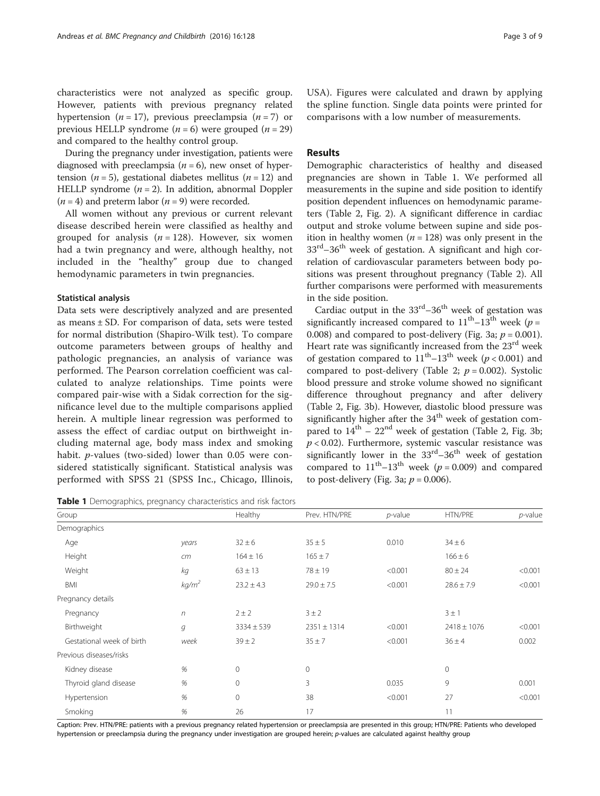characteristics were not analyzed as specific group. However, patients with previous pregnancy related hypertension ( $n = 17$ ), previous preeclampsia ( $n = 7$ ) or previous HELLP syndrome  $(n = 6)$  were grouped  $(n = 29)$ and compared to the healthy control group.

During the pregnancy under investigation, patients were diagnosed with preeclampsia  $(n = 6)$ , new onset of hypertension ( $n = 5$ ), gestational diabetes mellitus ( $n = 12$ ) and HELLP syndrome  $(n = 2)$ . In addition, abnormal Doppler  $(n = 4)$  and preterm labor  $(n = 9)$  were recorded.

All women without any previous or current relevant disease described herein were classified as healthy and grouped for analysis  $(n = 128)$ . However, six women had a twin pregnancy and were, although healthy, not included in the "healthy" group due to changed hemodynamic parameters in twin pregnancies.

# Statistical analysis

Data sets were descriptively analyzed and are presented as means  $\pm$  SD. For comparison of data, sets were tested for normal distribution (Shapiro-Wilk test). To compare outcome parameters between groups of healthy and pathologic pregnancies, an analysis of variance was performed. The Pearson correlation coefficient was calculated to analyze relationships. Time points were compared pair-wise with a Sidak correction for the significance level due to the multiple comparisons applied herein. A multiple linear regression was performed to assess the effect of cardiac output on birthweight including maternal age, body mass index and smoking habit. p-values (two-sided) lower than 0.05 were considered statistically significant. Statistical analysis was performed with SPSS 21 (SPSS Inc., Chicago, Illinois,

Table 1 Demographics, pregnancy characteristics and risk factors

USA). Figures were calculated and drawn by applying the spline function. Single data points were printed for comparisons with a low number of measurements.

# Results

Demographic characteristics of healthy and diseased pregnancies are shown in Table 1. We performed all measurements in the supine and side position to identify position dependent influences on hemodynamic parameters (Table [2,](#page-4-0) Fig. [2](#page-4-0)). A significant difference in cardiac output and stroke volume between supine and side position in healthy women  $(n = 128)$  was only present in the  $33<sup>rd</sup> - 36<sup>th</sup>$  week of gestation. A significant and high correlation of cardiovascular parameters between body positions was present throughout pregnancy (Table [2](#page-4-0)). All further comparisons were performed with measurements in the side position.

Cardiac output in the  $33<sup>rd</sup>-36<sup>th</sup>$  week of gestation was significantly increased compared to  $11<sup>th</sup> - 13<sup>th</sup>$  week (p = 0.008) and compared to post-delivery (Fig. [3a;](#page-5-0)  $p = 0.001$ ). Heart rate was significantly increased from the 23<sup>rd</sup> week of gestation compared to  $11<sup>th</sup> - 13<sup>th</sup>$  week ( $p < 0.001$ ) and compared to post-delivery (Table [2;](#page-4-0)  $p = 0.002$ ). Systolic blood pressure and stroke volume showed no significant difference throughout pregnancy and after delivery (Table [2](#page-4-0), Fig. [3b\)](#page-5-0). However, diastolic blood pressure was significantly higher after the  $34<sup>th</sup>$  week of gestation compared to  $14<sup>th</sup> - 22<sup>nd</sup>$  week of gestation (Table [2,](#page-4-0) Fig. [3b](#page-5-0);  $p < 0.02$ ). Furthermore, systemic vascular resistance was significantly lower in the  $33<sup>rd</sup>-36<sup>th</sup>$  week of gestation compared to  $11<sup>th</sup>-13<sup>th</sup>$  week ( $p = 0.009$ ) and compared to post-delivery (Fig. [3a](#page-5-0);  $p = 0.006$ ).

| Group                      |                              | Healthy        | Prev. HTN/PRE   | $p$ -value | HTN/PRE         | $p$ -value |  |
|----------------------------|------------------------------|----------------|-----------------|------------|-----------------|------------|--|
| Demographics               |                              |                |                 |            |                 |            |  |
| Age                        | years                        | $32 \pm 6$     | $35 \pm 5$      | 0.010      | $34 \pm 6$      |            |  |
| Height                     | cm                           | $164 \pm 16$   | $165 \pm 7$     |            | $166 \pm 6$     |            |  |
| Weight<br>kg               |                              | $63 \pm 13$    | $78 \pm 19$     | < 0.001    | $80 \pm 24$     | < 0.001    |  |
| <b>BMI</b>                 | kg/m <sup>2</sup>            | $23.2 \pm 4.3$ | $29.0 \pm 7.5$  | < 0.001    | $28.6 \pm 7.9$  | < 0.001    |  |
| Pregnancy details          |                              |                |                 |            |                 |            |  |
| Pregnancy<br>$\sqrt{n}$    |                              | $2 \pm 2$      | $3 \pm 2$       |            | $3 \pm 1$       |            |  |
| Birthweight<br>g           |                              | $3334 \pm 539$ | $2351 \pm 1314$ | < 0.001    | $2418 \pm 1076$ | < 0.001    |  |
| Gestational week of birth  | week                         | $39 \pm 2$     | $35 \pm 7$      | < 0.001    | $36 \pm 4$      | 0.002      |  |
| Previous diseases/risks    |                              |                |                 |            |                 |            |  |
| Kidney disease             | $% \mathcal{A}_{\mathrm{d}}$ | $\mathbf 0$    | $\mathbf 0$     |            | $\mathbf 0$     |            |  |
| %<br>Thyroid gland disease |                              | 0              | 3               | 0.035      | 9               | 0.001      |  |
| Hypertension               | $% \mathcal{A}_{\mathrm{d}}$ | 0              | 38              | < 0.001    | 27              | < 0.001    |  |
| Smoking                    | %                            | 26             | 17              |            | 11              |            |  |

Caption: Prev. HTN/PRE: patients with a previous pregnancy related hypertension or preeclampsia are presented in this group; HTN/PRE: Patients who developed hypertension or preeclampsia during the pregnancy under investigation are grouped herein; p-values are calculated against healthy group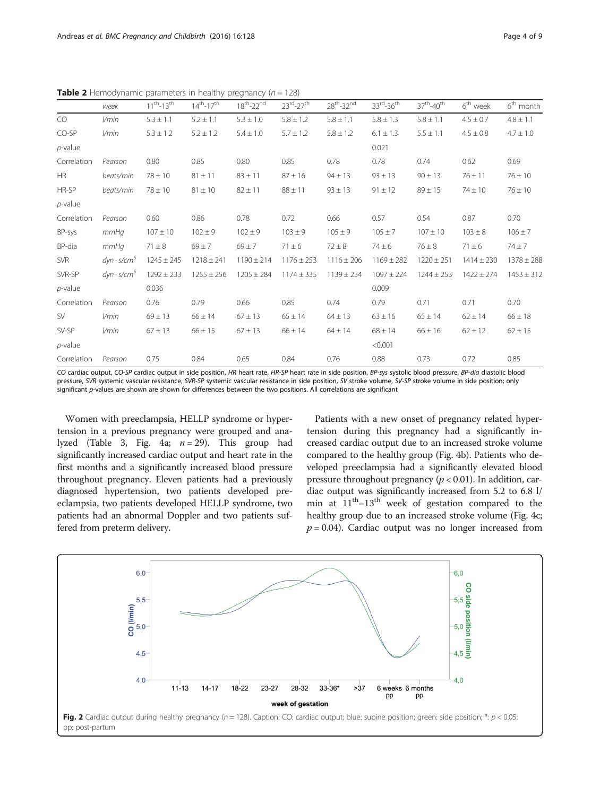|             | week               | $11^{th} - 13^{th}$ | $14^{th} - 17^{th}$ | $18^{th} - 22^{nd}$ | $23^{\text{rd}} - 27^{\text{th}}$ | $28th - 32nd$  | $33^{\text{rd}}$ -36 <sup>th</sup> | $37th - 40th$  | $6th$ week     | $6th$ month    |
|-------------|--------------------|---------------------|---------------------|---------------------|-----------------------------------|----------------|------------------------------------|----------------|----------------|----------------|
| CO          | l/min              | $5.3 \pm 1.1$       | $5.2 \pm 1.1$       | $5.3 \pm 1.0$       | $5.8 \pm 1.2$                     | $5.8 \pm 1.1$  | $5.8 \pm 1.3$                      | $5.8 \pm 1.1$  | $4.5 \pm 0.7$  | $4.8 \pm 1.1$  |
| CO-SP       | l/min              | $5.3 \pm 1.2$       | $5.2 \pm 1.2$       | $5.4 \pm 1.0$       | $5.7 \pm 1.2$                     | $5.8 \pm 1.2$  | $6.1 \pm 1.3$                      | $5.5 \pm 1.1$  | $4.5 \pm 0.8$  | $4.7 \pm 1.0$  |
| $p$ -value  |                    |                     |                     |                     |                                   |                | 0.021                              |                |                |                |
| Correlation | Pearson            | 0.80                | 0.85                | 0.80                | 0.85                              | 0.78           | 0.78                               | 0.74           | 0.62           | 0.69           |
| <b>HR</b>   | beats/min          | $78 \pm 10$         | $81 \pm 11$         | $83 \pm 11$         | $87 \pm 16$                       | $94 \pm 13$    | $93 \pm 13$                        | $90 \pm 13$    | $76 \pm 11$    | $76 \pm 10$    |
| HR-SP       | beats/min          | $78 \pm 10$         | $81 \pm 10$         | $82 \pm 11$         | $88 \pm 11$                       | $93 \pm 13$    | $91 \pm 12$                        | $89 \pm 15$    | $74 \pm 10$    | $76 \pm 10$    |
| $p$ -value  |                    |                     |                     |                     |                                   |                |                                    |                |                |                |
| Correlation | Pearson            | 0.60                | 0.86                | 0.78                | 0.72                              | 0.66           | 0.57                               | 0.54           | 0.87           | 0.70           |
| BP-sys      | mmHq               | $107 \pm 10$        | $102 \pm 9$         | $102 + 9$           | $103 \pm 9$                       | $105 \pm 9$    | $105 \pm 7$                        | $107 \pm 10$   | $103 \pm 8$    | $106 \pm 7$    |
| BP-dia      | mmHq               | $71 \pm 8$          | $69 \pm 7$          | $69 \pm 7$          | $71 \pm 6$                        | $72 \pm 8$     | $74 \pm 6$                         | $76 \pm 8$     | $71 \pm 6$     | $74 \pm 7$     |
| SVR         | $dyn \cdot s/cm5$  | $1245 \pm 245$      | $1218 \pm 241$      | $1190 \pm 214$      | $1176 \pm 253$                    | $1116 \pm 206$ | $1169 \pm 282$                     | $1220 \pm 251$ | $1414 \pm 230$ | $1378 \pm 288$ |
| SVR-SP      | $dyn \cdot s/cm^5$ | $1292 \pm 233$      | $1255 \pm 256$      | $1205 \pm 284$      | $1174 \pm 335$                    | $1139 \pm 234$ | $1097 \pm 224$                     | $1244 \pm 253$ | $1422 \pm 274$ | $1453 \pm 312$ |
| $p$ -value  |                    | 0.036               |                     |                     |                                   |                | 0.009                              |                |                |                |
| Correlation | Pearson            | 0.76                | 0.79                | 0.66                | 0.85                              | 0.74           | 0.79                               | 0.71           | 0.71           | 0.70           |
| SV          | l/min              | $69 \pm 13$         | $66 \pm 14$         | $67 \pm 13$         | $65 \pm 14$                       | $64 \pm 13$    | $63 \pm 16$                        | $65 \pm 14$    | $62 \pm 14$    | $66 \pm 18$    |
| SV-SP       | l/min              | $67 \pm 13$         | $66 \pm 15$         | $67 \pm 13$         | $66 \pm 14$                       | $64 \pm 14$    | $68 \pm 14$                        | $66 \pm 16$    | $62 \pm 12$    | $62 \pm 15$    |
| $p$ -value  |                    |                     |                     |                     |                                   |                | < 0.001                            |                |                |                |
| Correlation | Pearson            | 0.75                | 0.84                | 0.65                | 0.84                              | 0.76           | 0.88                               | 0.73           | 0.72           | 0.85           |

<span id="page-4-0"></span>**Table 2** Hemodynamic parameters in healthy pregnancy ( $n = 128$ )

CO cardiac output, CO-SP cardiac output in side position, HR heart rate, HR-SP heart rate in side position, BP-sys systolic blood pressure, BP-dia diastolic blood pressure, SVR systemic vascular resistance, SVR-SP systemic vascular resistance in side position, SV stroke volume, SV-SP stroke volume in side position; only significant p-values are shown are shown for differences between the two positions. All correlations are significant

Women with preeclampsia, HELLP syndrome or hypertension in a previous pregnancy were grouped and ana-lyzed (Table [3](#page-6-0), Fig. [4a](#page-7-0);  $n = 29$ ). This group had significantly increased cardiac output and heart rate in the first months and a significantly increased blood pressure throughout pregnancy. Eleven patients had a previously diagnosed hypertension, two patients developed preeclampsia, two patients developed HELLP syndrome, two patients had an abnormal Doppler and two patients suffered from preterm delivery.

Patients with a new onset of pregnancy related hypertension during this pregnancy had a significantly increased cardiac output due to an increased stroke volume compared to the healthy group (Fig. [4b\)](#page-7-0). Patients who developed preeclampsia had a significantly elevated blood pressure throughout pregnancy ( $p < 0.01$ ). In addition, cardiac output was significantly increased from 5.2 to 6.8 l/ min at  $11^{th}-13^{th}$  week of gestation compared to the healthy group due to an increased stroke volume (Fig. [4c](#page-7-0);  $p = 0.04$ ). Cardiac output was no longer increased from

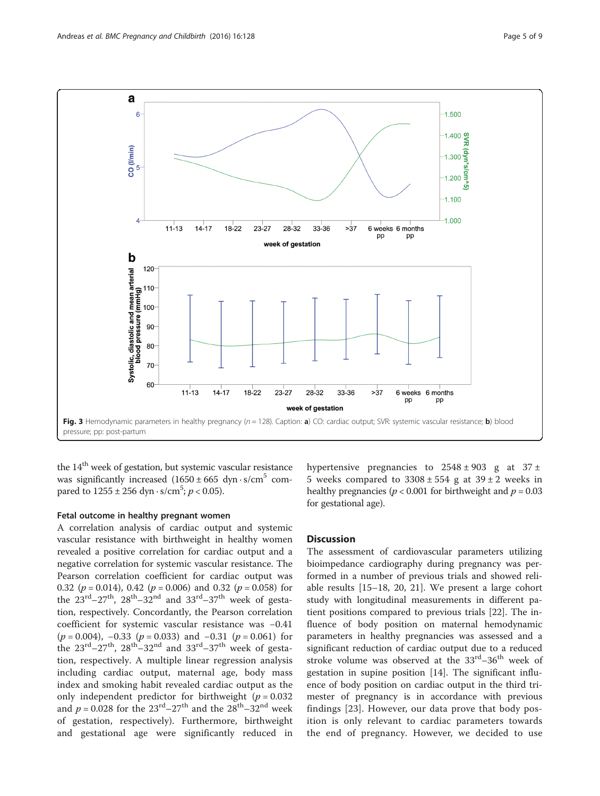<span id="page-5-0"></span>

the  $14<sup>th</sup>$  week of gestation, but systemic vascular resistance was significantly increased  $(1650 \pm 665 \text{ dyn} \cdot \text{s/cm}^5 \text{ com}$ pared to  $1255 \pm 256$  dyn · s/cm<sup>5</sup>;  $p < 0.05$ ).

# Fetal outcome in healthy pregnant women

A correlation analysis of cardiac output and systemic vascular resistance with birthweight in healthy women revealed a positive correlation for cardiac output and a negative correlation for systemic vascular resistance. The Pearson correlation coefficient for cardiac output was 0.32 ( $p = 0.014$ ), 0.42 ( $p = 0.006$ ) and 0.32 ( $p = 0.058$ ) for the  $23^{\text{rd}}-27^{\text{th}}$ ,  $28^{\text{th}}-32^{\text{nd}}$  and  $33^{\text{rd}}-37^{\text{th}}$  week of gestation, respectively. Concordantly, the Pearson correlation coefficient for systemic vascular resistance was −0.41  $(p = 0.004)$ , −0.33 ( $p = 0.033$ ) and −0.31 ( $p = 0.061$ ) for the  $23^{\text{rd}} - 27^{\text{th}}$ ,  $28^{\text{th}} - 32^{\text{nd}}$  and  $33^{\text{rd}} - 37^{\text{th}}$  week of gestation, respectively. A multiple linear regression analysis including cardiac output, maternal age, body mass index and smoking habit revealed cardiac output as the only independent predictor for birthweight  $(p = 0.032)$ and  $p = 0.028$  for the  $23^{\text{rd}} - 27^{\text{th}}$  and the  $28^{\text{th}} - 32^{\text{nd}}$  week of gestation, respectively). Furthermore, birthweight and gestational age were significantly reduced in hypertensive pregnancies to  $2548 \pm 903$  g at  $37 \pm$ 5 weeks compared to  $3308 \pm 554$  g at  $39 \pm 2$  weeks in healthy pregnancies ( $p < 0.001$  for birthweight and  $p = 0.03$ for gestational age).

# **Discussion**

The assessment of cardiovascular parameters utilizing bioimpedance cardiography during pregnancy was performed in a number of previous trials and showed reliable results [\[15](#page-9-0)–[18, 20](#page-9-0), [21](#page-9-0)]. We present a large cohort study with longitudinal measurements in different patient positions compared to previous trials [[22](#page-9-0)]. The influence of body position on maternal hemodynamic parameters in healthy pregnancies was assessed and a significant reduction of cardiac output due to a reduced stroke volume was observed at the  $33<sup>rd</sup>-36<sup>th</sup>$  week of gestation in supine position [[14\]](#page-8-0). The significant influence of body position on cardiac output in the third trimester of pregnancy is in accordance with previous findings [[23\]](#page-9-0). However, our data prove that body position is only relevant to cardiac parameters towards the end of pregnancy. However, we decided to use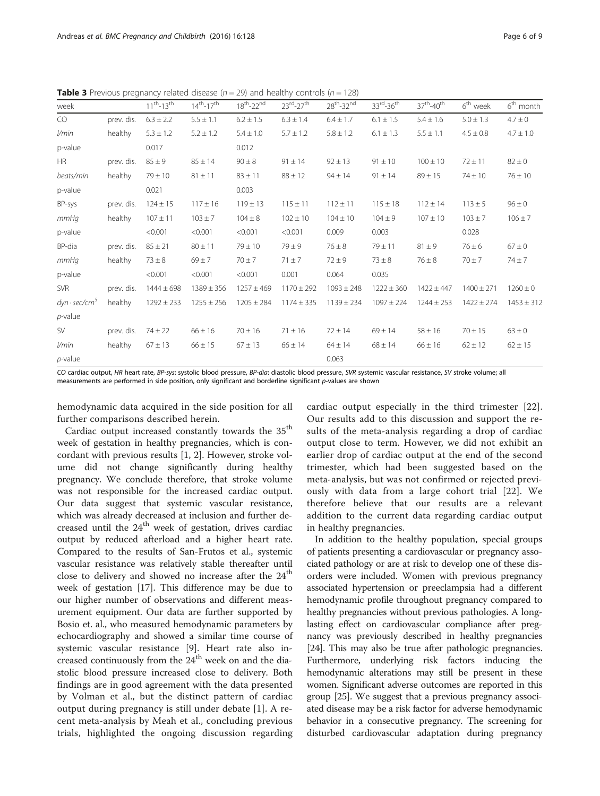<span id="page-6-0"></span>**Table 3** Previous pregnancy related disease ( $n = 29$ ) and healthy controls ( $n = 128$ )

| week                 |            | $11^{th} - 13^{th}$ | $14^{th} - 17^{th}$ | $18^{th}$ -22 $^{nd}$ | $23^{\text{rd}} - 27^{\text{th}}$ | $28th - 32nd$  | $33^{\text{rd}}$ -36 <sup>th</sup> | 37 <sup>th</sup> -40 <sup>th</sup> | $6th$ week     | $6th$ month    |
|----------------------|------------|---------------------|---------------------|-----------------------|-----------------------------------|----------------|------------------------------------|------------------------------------|----------------|----------------|
| CO                   | prev. dis. | $6.3 \pm 2.2$       | $5.5 \pm 1.1$       | $6.2 \pm 1.5$         | $6.3 \pm 1.4$                     | $6.4 \pm 1.7$  | $6.1 \pm 1.5$                      | $5.4 \pm 1.6$                      | $5.0 \pm 1.3$  | $4.7 \pm 0$    |
| l/min                | healthy    | $5.3 \pm 1.2$       | $5.2 \pm 1.2$       | $5.4 \pm 1.0$         | $5.7 \pm 1.2$                     | $5.8 \pm 1.2$  | $6.1 \pm 1.3$                      | $5.5 \pm 1.1$                      | $4.5 \pm 0.8$  | $4.7 \pm 1.0$  |
| p-value              |            | 0.017               |                     | 0.012                 |                                   |                |                                    |                                    |                |                |
| <b>HR</b>            | prev. dis. | $85 \pm 9$          | $85 \pm 14$         | $90 \pm 8$            | $91 \pm 14$                       | $92 \pm 13$    | $91 \pm 10$                        | $100 \pm 10$                       | $72 \pm 11$    | $82 \pm 0$     |
| beats/min            | healthy    | $79 \pm 10$         | $81 \pm 11$         | $83 \pm 11$           | $88 \pm 12$                       | $94 \pm 14$    | $91 \pm 14$                        | $89 \pm 15$                        | $74 \pm 10$    | $76 \pm 10$    |
| p-value              |            | 0.021               |                     | 0.003                 |                                   |                |                                    |                                    |                |                |
| BP-sys               | prev. dis. | $124 \pm 15$        | $117 \pm 16$        | $119 \pm 13$          | $115 \pm 11$                      | $112 \pm 11$   | $115 \pm 18$                       | $112 \pm 14$                       | $113 \pm 5$    | $96 \pm 0$     |
| mmHq                 | healthy    | $107 \pm 11$        | $103 \pm 7$         | $104 \pm 8$           | $102 \pm 10$                      | $104 \pm 10$   | $104 \pm 9$                        | $107 \pm 10$                       | $103 + 7$      | $106 \pm 7$    |
| p-value              |            | < 0.001             | < 0.001             | < 0.001               | < 0.001                           | 0.009          | 0.003                              |                                    | 0.028          |                |
| BP-dia               | prev. dis. | $85 \pm 21$         | $80 \pm 11$         | $79 \pm 10$           | $79 \pm 9$                        | $76 \pm 8$     | $79 + 11$                          | $81 \pm 9$                         | $76 \pm 6$     | $67 \pm 0$     |
| mmHq                 | healthy    | $73 \pm 8$          | $69 \pm 7$          | $70 \pm 7$            | $71 \pm 7$                        | $72 \pm 9$     | $73 \pm 8$                         | $76 \pm 8$                         | $70 \pm 7$     | $74 \pm 7$     |
| p-value              |            | < 0.001             | < 0.001             | < 0.001               | 0.001                             | 0.064          | 0.035                              |                                    |                |                |
| <b>SVR</b>           | prev. dis. | $1444 \pm 698$      | $1389 \pm 356$      | $1257 \pm 469$        | $1170 \pm 292$                    | $1093 \pm 248$ | $1222 \pm 360$                     | $1422 \pm 447$                     | $1400 \pm 271$ | $1260 \pm 0$   |
| $dyn \cdot sec/cm^3$ | healthy    | $1292 \pm 233$      | $1255 \pm 256$      | $1205 \pm 284$        | $1174 \pm 335$                    | $1139 \pm 234$ | $1097 \pm 224$                     | $1244 \pm 253$                     | $1422 \pm 274$ | $1453 \pm 312$ |
| $p$ -value           |            |                     |                     |                       |                                   |                |                                    |                                    |                |                |
| SV                   | prev. dis. | $74 \pm 22$         | $66 \pm 16$         | $70 \pm 16$           | $71 \pm 16$                       | $72 \pm 14$    | $69 \pm 14$                        | $58 \pm 16$                        | $70 \pm 15$    | $63 \pm 0$     |
| l/min                | healthy    | $67 \pm 13$         | $66 \pm 15$         | $67 \pm 13$           | $66 \pm 14$                       | $64 \pm 14$    | $68 \pm 14$                        | $66 \pm 16$                        | $62 \pm 12$    | $62 \pm 15$    |
| $p$ -value           |            |                     |                     |                       |                                   | 0.063          |                                    |                                    |                |                |

CO cardiac output, HR heart rate, BP-sys: systolic blood pressure, BP-dia: diastolic blood pressure, SVR systemic vascular resistance, SV stroke volume; all measurements are performed in side position, only significant and borderline significant p-values are shown

hemodynamic data acquired in the side position for all further comparisons described herein.

Cardiac output increased constantly towards the 35<sup>th</sup> week of gestation in healthy pregnancies, which is concordant with previous results [\[1](#page-8-0), [2](#page-8-0)]. However, stroke volume did not change significantly during healthy pregnancy. We conclude therefore, that stroke volume was not responsible for the increased cardiac output. Our data suggest that systemic vascular resistance, which was already decreased at inclusion and further decreased until the  $24<sup>th</sup>$  week of gestation, drives cardiac output by reduced afterload and a higher heart rate. Compared to the results of San-Frutos et al., systemic vascular resistance was relatively stable thereafter until close to delivery and showed no increase after the  $24<sup>th</sup>$ week of gestation [\[17](#page-9-0)]. This difference may be due to our higher number of observations and different measurement equipment. Our data are further supported by Bosio et. al., who measured hemodynamic parameters by echocardiography and showed a similar time course of systemic vascular resistance [[9\]](#page-8-0). Heart rate also increased continuously from the  $24<sup>th</sup>$  week on and the diastolic blood pressure increased close to delivery. Both findings are in good agreement with the data presented by Volman et al., but the distinct pattern of cardiac output during pregnancy is still under debate [[1\]](#page-8-0). A recent meta-analysis by Meah et al., concluding previous trials, highlighted the ongoing discussion regarding

cardiac output especially in the third trimester [[22](#page-9-0)]. Our results add to this discussion and support the results of the meta-analysis regarding a drop of cardiac output close to term. However, we did not exhibit an earlier drop of cardiac output at the end of the second trimester, which had been suggested based on the meta-analysis, but was not confirmed or rejected previously with data from a large cohort trial [[22\]](#page-9-0). We therefore believe that our results are a relevant addition to the current data regarding cardiac output in healthy pregnancies.

In addition to the healthy population, special groups of patients presenting a cardiovascular or pregnancy associated pathology or are at risk to develop one of these disorders were included. Women with previous pregnancy associated hypertension or preeclampsia had a different hemodynamic profile throughout pregnancy compared to healthy pregnancies without previous pathologies. A longlasting effect on cardiovascular compliance after pregnancy was previously described in healthy pregnancies [[24](#page-9-0)]. This may also be true after pathologic pregnancies. Furthermore, underlying risk factors inducing the hemodynamic alterations may still be present in these women. Significant adverse outcomes are reported in this group [[25](#page-9-0)]. We suggest that a previous pregnancy associated disease may be a risk factor for adverse hemodynamic behavior in a consecutive pregnancy. The screening for disturbed cardiovascular adaptation during pregnancy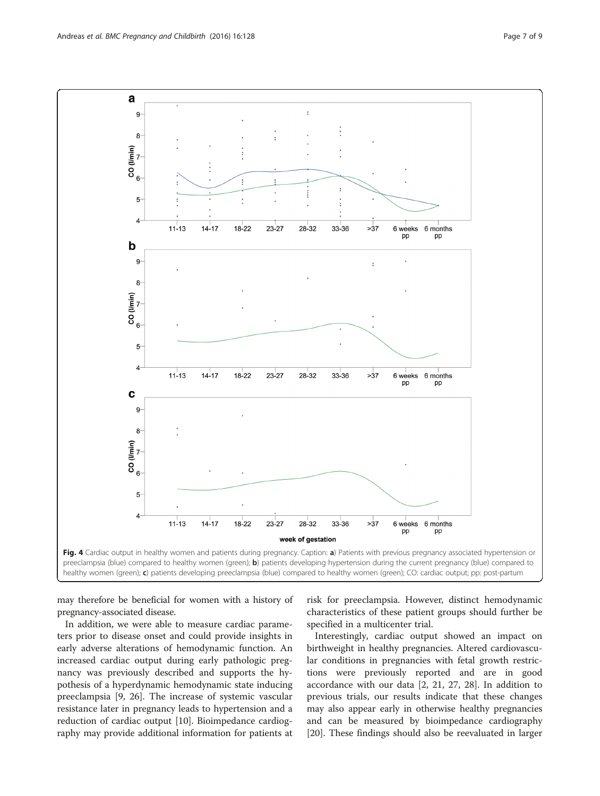<span id="page-7-0"></span>

may therefore be beneficial for women with a history of pregnancy-associated disease.

In addition, we were able to measure cardiac parameters prior to disease onset and could provide insights in early adverse alterations of hemodynamic function. An increased cardiac output during early pathologic pregnancy was previously described and supports the hypothesis of a hyperdynamic hemodynamic state inducing preeclampsia [\[9](#page-8-0), [26\]](#page-9-0). The increase of systemic vascular resistance later in pregnancy leads to hypertension and a reduction of cardiac output [\[10\]](#page-8-0). Bioimpedance cardiography may provide additional information for patients at risk for preeclampsia. However, distinct hemodynamic characteristics of these patient groups should further be specified in a multicenter trial.

Interestingly, cardiac output showed an impact on birthweight in healthy pregnancies. Altered cardiovascular conditions in pregnancies with fetal growth restrictions were previously reported and are in good accordance with our data [\[2](#page-8-0), [21](#page-9-0), [27](#page-9-0), [28\]](#page-9-0). In addition to previous trials, our results indicate that these changes may also appear early in otherwise healthy pregnancies and can be measured by bioimpedance cardiography [[20\]](#page-9-0). These findings should also be reevaluated in larger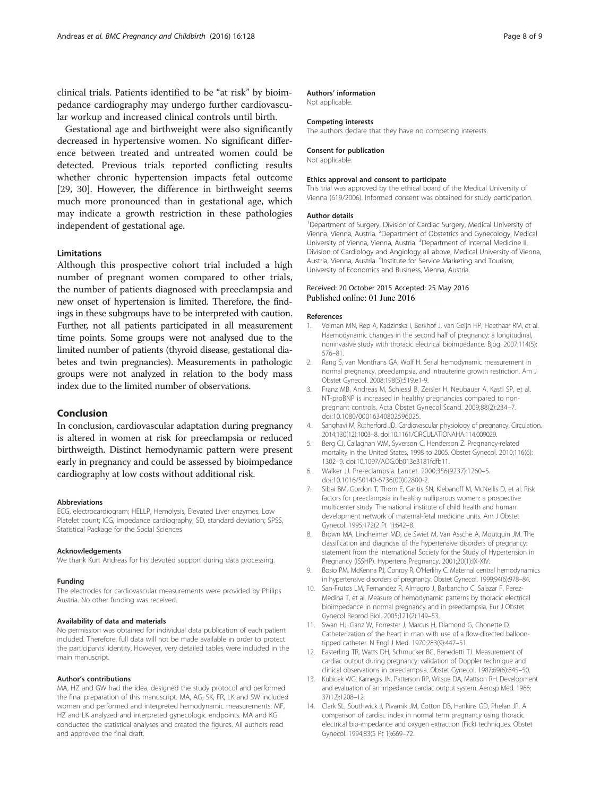<span id="page-8-0"></span>clinical trials. Patients identified to be "at risk" by bioimpedance cardiography may undergo further cardiovascular workup and increased clinical controls until birth.

Gestational age and birthweight were also significantly decreased in hypertensive women. No significant difference between treated and untreated women could be detected. Previous trials reported conflicting results whether chronic hypertension impacts fetal outcome [[29, 30](#page-9-0)]. However, the difference in birthweight seems much more pronounced than in gestational age, which may indicate a growth restriction in these pathologies independent of gestational age.

## Limitations

Although this prospective cohort trial included a high number of pregnant women compared to other trials, the number of patients diagnosed with preeclampsia and new onset of hypertension is limited. Therefore, the findings in these subgroups have to be interpreted with caution. Further, not all patients participated in all measurement time points. Some groups were not analysed due to the limited number of patients (thyroid disease, gestational diabetes and twin pregnancies). Measurements in pathologic groups were not analyzed in relation to the body mass index due to the limited number of observations.

# Conclusion

In conclusion, cardiovascular adaptation during pregnancy is altered in women at risk for preeclampsia or reduced birthweigth. Distinct hemodynamic pattern were present early in pregnancy and could be assessed by bioimpedance cardiography at low costs without additional risk.

#### Abbreviations

ECG, electrocardiogram; HELLP, Hemolysis, Elevated Liver enzymes, Low Platelet count; ICG, impedance cardiography; SD, standard deviation; SPSS, Statistical Package for the Social Sciences

#### Acknowledgements

We thank Kurt Andreas for his devoted support during data processing.

## Funding

The electrodes for cardiovascular measurements were provided by Philips Austria. No other funding was received.

## Availability of data and materials

No permission was obtained for individual data publication of each patient included. Therefore, full data will not be made available in order to protect the participants' identity. However, very detailed tables were included in the main manuscript.

# Author's contributions

MA, HZ and GW had the idea, designed the study protocol and performed the final preparation of this manuscript. MA, AG, SK, FR, LK and SW included women and performed and interpreted hemodynamic measurements. MF, HZ and LK analyzed and interpreted gynecologic endpoints. MA and KG conducted the statistical analyses and created the figures. All authors read and approved the final draft.

# Authors' information

Not applicable.

## Competing interests

The authors declare that they have no competing interests.

#### Consent for publication

Not applicable.

# Ethics approval and consent to participate

This trial was approved by the ethical board of the Medical University of Vienna (619/2006). Informed consent was obtained for study participation.

#### Author details

<sup>1</sup>Department of Surgery, Division of Cardiac Surgery, Medical University of Vienna, Vienna, Austria. <sup>2</sup>Department of Obstetrics and Gynecology, Medical University of Vienna, Vienna, Austria. <sup>3</sup> Department of Internal Medicine II Division of Cardiology and Angiology all above, Medical University of Vienna, Austria, Vienna, Austria. <sup>4</sup>Institute for Service Marketing and Tourism, University of Economics and Business, Vienna, Austria.

## Received: 20 October 2015 Accepted: 25 May 2016 Published online: 01 June 2016

#### References

- 1. Volman MN, Rep A, Kadzinska I, Berkhof J, van Geijn HP, Heethaar RM, et al. Haemodynamic changes in the second half of pregnancy: a longitudinal, noninvasive study with thoracic electrical bioimpedance. Bjog. 2007;114(5): 576–81.
- 2. Rang S, van Montfrans GA, Wolf H. Serial hemodynamic measurement in normal pregnancy, preeclampsia, and intrauterine growth restriction. Am J Obstet Gynecol. 2008;198(5):519.e1-9.
- 3. Franz MB, Andreas M, Schiessl B, Zeisler H, Neubauer A, Kastl SP, et al. NT-proBNP is increased in healthy pregnancies compared to nonpregnant controls. Acta Obstet Gynecol Scand. 2009;88(2):234–7. doi:[10.1080/00016340802596025.](http://dx.doi.org/10.1080/00016340802596025)
- 4. Sanghavi M, Rutherford JD. Cardiovascular physiology of pregnancy. Circulation. 2014;130(12):1003–8. doi:[10.1161/CIRCULATIONAHA.114.009029.](http://dx.doi.org/10.1161/CIRCULATIONAHA.114.009029)
- 5. Berg CJ, Callaghan WM, Syverson C, Henderson Z. Pregnancy-related mortality in the United States, 1998 to 2005. Obstet Gynecol. 2010;116(6): 1302–9. doi:[10.1097/AOG.0b013e3181fdfb11](http://dx.doi.org/10.1097/AOG.0b013e3181fdfb11).
- 6. Walker JJ. Pre-eclampsia. Lancet. 2000;356(9237):1260–5. doi:[10.1016/S0140-6736\(00\)02800-2.](http://dx.doi.org/10.1016/S0140-6736(00)02800-2)
- 7. Sibai BM, Gordon T, Thom E, Caritis SN, Klebanoff M, McNellis D, et al. Risk factors for preeclampsia in healthy nulliparous women: a prospective multicenter study. The national institute of child health and human development network of maternal-fetal medicine units. Am J Obstet Gynecol. 1995;172(2 Pt 1):642–8.
- 8. Brown MA, Lindheimer MD, de Swiet M, Van Assche A, Moutquin JM. The classification and diagnosis of the hypertensive disorders of pregnancy: statement from the International Society for the Study of Hypertension in Pregnancy (ISSHP). Hypertens Pregnancy. 2001;20(1):IX-XIV.
- 9. Bosio PM, McKenna PJ, Conroy R, O'Herlihy C. Maternal central hemodynamics in hypertensive disorders of pregnancy. Obstet Gynecol. 1999;94(6):978–84.
- 10. San-Frutos LM, Fernandez R, Almagro J, Barbancho C, Salazar F, Perez-Medina T, et al. Measure of hemodynamic patterns by thoracic electrical bioimpedance in normal pregnancy and in preeclampsia. Eur J Obstet Gynecol Reprod Biol. 2005;121(2):149–53.
- 11. Swan HJ, Ganz W, Forrester J, Marcus H, Diamond G, Chonette D. Catheterization of the heart in man with use of a flow-directed balloontipped catheter. N Engl J Med. 1970;283(9):447–51.
- 12. Easterling TR, Watts DH, Schmucker BC, Benedetti TJ. Measurement of cardiac output during pregnancy: validation of Doppler technique and clinical observations in preeclampsia. Obstet Gynecol. 1987;69(6):845–50.
- 13. Kubicek WG, Karnegis JN, Patterson RP, Witsoe DA, Mattson RH. Development and evaluation of an impedance cardiac output system. Aerosp Med. 1966; 37(12):1208–12.
- 14. Clark SL, Southwick J, Pivarnik JM, Cotton DB, Hankins GD, Phelan JP. A comparison of cardiac index in normal term pregnancy using thoracic electrical bio-impedance and oxygen extraction (Fick) techniques. Obstet Gynecol. 1994;83(5 Pt 1):669–72.